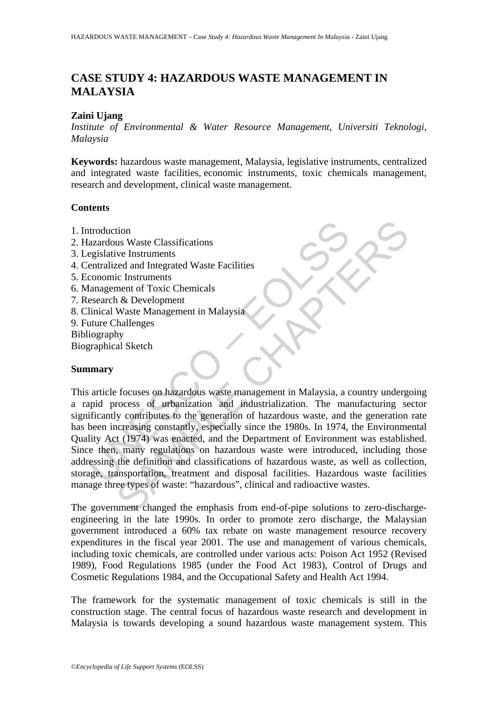# **CASE STUDY 4: HAZARDOUS WASTE MANAGEMENT IN MALAYSIA**

### **Zaini Ujang**

*Institute of Environmental & Water Resource Management, Universiti Teknologi, Malaysia* 

**Keywords:** hazardous waste management, Malaysia, legislative instruments, centralized and integrated waste facilities, economic instruments, toxic chemicals management, research and development, clinical waste management.

## **Contents**

- 1. Introduction
- 2. Hazardous Waste Classifications
- 3. Legislative Instruments
- 4. Centralized and Integrated Waste Facilities
- 5. Economic Instruments
- 6. Management of Toxic Chemicals
- 7. Research & Development
- 8. Clinical Waste Management in Malaysia
- 9. Future Challenges
- Bibliography
- Biographical Sketch

#### **Summary**

ntroduction<br>
Mazardous Waste Classifications<br>
egislative Instruments<br>
eentralized and Integrated Waste Facilities<br>
conomic Instruments<br>
danagement of Toxic Chemicals<br>
esearch & Development<br>
linical Waste Management in Mala tion<br>
is Waste Classifications<br>
ve Instruments<br>
ic Instruments<br>
ic Instruments<br>
ic Instruments<br>
waste Management in Malaysia<br>
Waste Management in Malaysia<br>
Whate Management in Malaysia<br>
Thallenges<br>
Second urbanization and This article focuses on hazardous waste management in Malaysia, a country undergoing a rapid process of urbanization and industrialization. The manufacturing sector significantly contributes to the generation of hazardous waste, and the generation rate has been increasing constantly, especially since the 1980s. In 1974, the Environmental Quality Act (1974) was enacted, and the Department of Environment was established. Since then, many regulations on hazardous waste were introduced, including those addressing the definition and classifications of hazardous waste, as well as collection, storage, transportation, treatment and disposal facilities. Hazardous waste facilities manage three types of waste: "hazardous", clinical and radioactive wastes.

The government changed the emphasis from end-of-pipe solutions to zero-dischargeengineering in the late 1990s. In order to promote zero discharge, the Malaysian government introduced a 60% tax rebate on waste management resource recovery expenditures in the fiscal year 2001. The use and management of various chemicals, including toxic chemicals, are controlled under various acts: Poison Act 1952 (Revised 1989), Food Regulations 1985 (under the Food Act 1983), Control of Drugs and Cosmetic Regulations 1984, and the Occupational Safety and Health Act 1994.

The framework for the systematic management of toxic chemicals is still in the construction stage. The central focus of hazardous waste research and development in Malaysia is towards developing a sound hazardous waste management system. This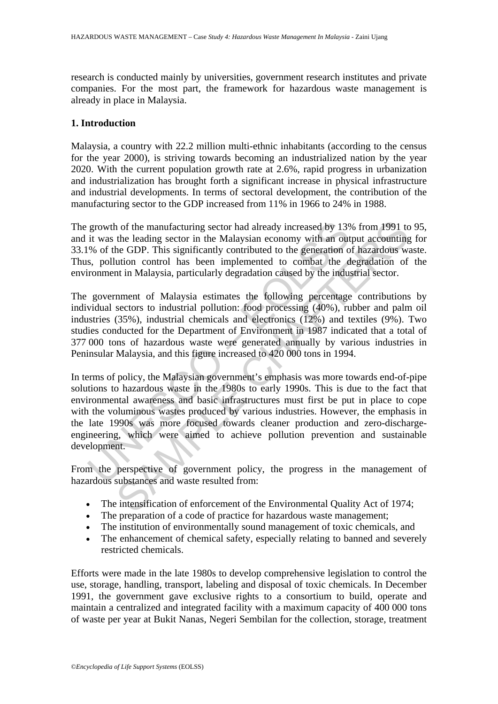research is conducted mainly by universities, government research institutes and private companies. For the most part, the framework for hazardous waste management is already in place in Malaysia.

## **1. Introduction**

Malaysia, a country with 22.2 million multi-ethnic inhabitants (according to the census for the year 2000), is striving towards becoming an industrialized nation by the year 2020. With the current population growth rate at 2.6%, rapid progress in urbanization and industrialization has brought forth a significant increase in physical infrastructure and industrial developments. In terms of sectoral development, the contribution of the manufacturing sector to the GDP increased from 11% in 1966 to 24% in 1988.

The growth of the manufacturing sector had already increased by 13% from 1991 to 95, and it was the leading sector in the Malaysian economy with an output accounting for 33.1% of the GDP. This significantly contributed to the generation of hazardous waste. Thus, pollution control has been implemented to combat the degradation of the environment in Malaysia, particularly degradation caused by the industrial sector.

The government of Malaysia estimates the following percentage contributions by individual sectors to industrial pollution: food processing (40%), rubber and palm oil industries (35%), industrial chemicals and electronics (12%) and textiles (9%). Two studies conducted for the Department of Environment in 1987 indicated that a total of 377 000 tons of hazardous waste were generated annually by various industries in Peninsular Malaysia, and this figure increased to 420 000 tons in 1994.

growth of the manufacturing sector had already increased by 139<br>it was the leading sector in the Malaysian economy with an out<br>% of the GDP. This significantly contributed to the generation o<br>s, pollution control has been n of the manufacturing sector had already increased by 13% from 1991 to<br>the leading sector in the Malaysian economy with an output accounting<br>he GDP. This isgnificantly contributed to the generation of hazardous was<br>tution In terms of policy, the Malaysian government's emphasis was more towards end-of-pipe solutions to hazardous waste in the 1980s to early 1990s. This is due to the fact that environmental awareness and basic infrastructures must first be put in place to cope with the voluminous wastes produced by various industries. However, the emphasis in the late 1990s was more focused towards cleaner production and zero-dischargeengineering, which were aimed to achieve pollution prevention and sustainable development.

From the perspective of government policy, the progress in the management of hazardous substances and waste resulted from:

- The intensification of enforcement of the Environmental Quality Act of 1974;
- The preparation of a code of practice for hazardous waste management;
- The institution of environmentally sound management of toxic chemicals, and
- The enhancement of chemical safety, especially relating to banned and severely restricted chemicals.

Efforts were made in the late 1980s to develop comprehensive legislation to control the use, storage, handling, transport, labeling and disposal of toxic chemicals. In December 1991, the government gave exclusive rights to a consortium to build, operate and maintain a centralized and integrated facility with a maximum capacity of 400 000 tons of waste per year at Bukit Nanas, Negeri Sembilan for the collection, storage, treatment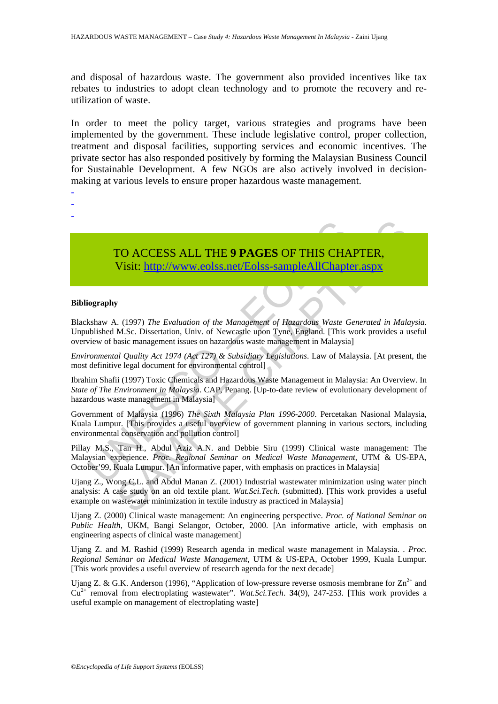and disposal of hazardous waste. The government also provided incentives like tax rebates to industries to adopt clean technology and to promote the recovery and reutilization of waste.

In order to meet the policy target, various strategies and programs have been implemented by the government. These include legislative control, proper collection, treatment and disposal facilities, supporting services and economic incentives. The private sector has also responded positively by forming the Malaysian Business Council for Sustainable Development. A few NGOs are also actively involved in decisionmaking at various levels to ensure proper hazardous waste management.

> TO ACCESS ALL THE **9 PAGES** OF THIS CHAPTER, Visit: http://www.eolss.net/Eolss-sampleAllChapter.aspx

#### **Bibliography**

- - -

Blackshaw A. (1997) *The Evaluation of the Management of Hazardous Waste Generated in Malaysia*. Unpublished M.Sc. Dissertation, Univ. of Newcastle upon Tyne, England. [This work provides a useful overview of basic management issues on hazardous waste management in Malaysia]

*Environmental Quality Act 1974 (Act 127) & Subsidiary Legislations*. Law of Malaysia. [At present, the most definitive legal document for environmental control]

TO ACCESS ALL THE 9 PAGES OF THIS CHA<br>Visit: http://www.eolss.net/Eolss-sampleAllChapte<br>iography<br>tished M.S.C. Disertation, Univ. of Newcastle upon Type, England. (This<br>ublished Massic of bive of basic management issues on **TO ACCESS ALL THE 9 PAGES OF THIS CHAP[TER](https://www.eolss.net/ebooklib/sc_cart.aspx?File=E1-08-07),**<br>
Visit:  $\frac{1}{111}$ ,  $\frac{1}{111}$ ,  $\frac{1}{111}$ ,  $\frac{1}{111}$ ,  $\frac{1}{111}$ ,  $\frac{1}{111}$ ,  $\frac{1}{111}$ ,  $\frac{1}{111}$ ,  $\frac{1}{111}$ ,  $\frac{1}{111}$ ,  $\frac{1}{111}$ ,  $\frac{1}{111}$ ,  $\frac{1}{111}$ , Ibrahim Shafii (1997) Toxic Chemicals and Hazardous Waste Management in Malaysia: An Overview. In *State of The Environment in Malaysia*. CAP, Penang. [Up-to-date review of evolutionary development of hazardous waste management in Malaysia]

Government of Malaysia (1996) *The Sixth Malaysia Plan 1996-2000*. Percetakan Nasional Malaysia, Kuala Lumpur. [This provides a useful overview of government planning in various sectors, including environmental conservation and pollution control]

Pillay M.S., Tan H., Abdul Aziz A.N. and Debbie Siru (1999) Clinical waste management: The Malaysian experience. *Proc. Regional Seminar on Medical Waste Management*, UTM & US-EPA, October'99, Kuala Lumpur. [An informative paper, with emphasis on practices in Malaysia]

Ujang Z., Wong C.L. and Abdul Manan Z. (2001) Industrial wastewater minimization using water pinch analysis: A case study on an old textile plant. *Wat.Sci.Tech.* (submitted). [This work provides a useful example on wastewater minimization in textile industry as practiced in Malaysia]

Ujang Z. (2000) Clinical waste management: An engineering perspective. *Proc. of National Seminar on Public Health*, UKM, Bangi Selangor, October, 2000. [An informative article, with emphasis on engineering aspects of clinical waste management]

Ujang Z. and M. Rashid (1999) Research agenda in medical waste management in Malaysia. . *Proc. Regional Seminar on Medical Waste Management*, UTM & US-EPA, October 1999, Kuala Lumpur. [This work provides a useful overview of research agenda for the next decade]

Ujang Z. & G.K. Anderson (1996), "Application of low-pressure reverse osmosis membrane for  $\text{Zn}^{2+}$  and Cu2+ removal from electroplating wastewater". *Wat.Sci.Tech*. **34**(9), 247-253. [This work provides a useful example on management of electroplating waste]